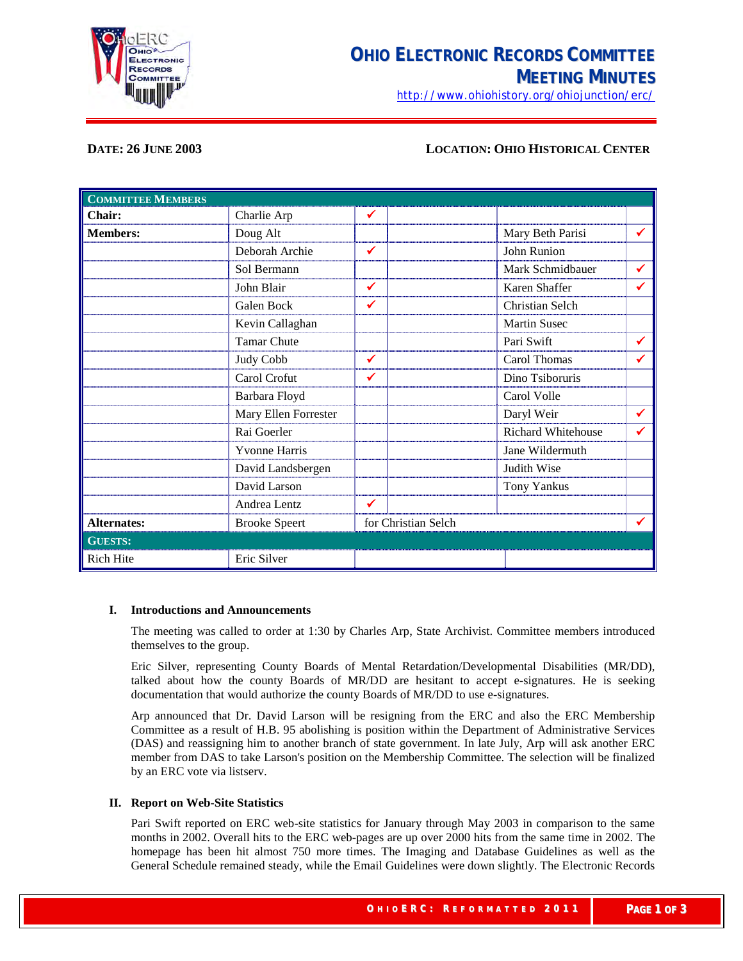

<http://www.ohiohistory.org/ohiojunction/erc/>

# **DATE: 26 JUNE 2003 LOCATION: OHIO HISTORICAL CENTER**

| <b>COMMITTEE MEMBERS</b> |                      |                     |  |                           |              |
|--------------------------|----------------------|---------------------|--|---------------------------|--------------|
| Chair:                   | Charlie Arp          | ✔                   |  |                           |              |
| <b>Members:</b>          | Doug Alt             |                     |  | Mary Beth Parisi          | ✔            |
|                          | Deborah Archie       | ✔                   |  | John Runion               |              |
|                          | Sol Bermann          |                     |  | Mark Schmidbauer          | $\checkmark$ |
|                          | John Blair           | ✓                   |  | Karen Shaffer             | ✔            |
|                          | Galen Bock           | ✓                   |  | Christian Selch           |              |
|                          | Kevin Callaghan      |                     |  | <b>Martin Susec</b>       |              |
|                          | <b>Tamar Chute</b>   |                     |  | Pari Swift                | $\checkmark$ |
|                          | Judy Cobb            | ✓                   |  | Carol Thomas              | ✔            |
|                          | Carol Crofut         | ✔                   |  | Dino Tsiboruris           |              |
|                          | Barbara Floyd        |                     |  | Carol Volle               |              |
|                          | Mary Ellen Forrester |                     |  | Daryl Weir                | $\checkmark$ |
|                          | Rai Goerler          |                     |  | <b>Richard Whitehouse</b> | ✔            |
|                          | <b>Yvonne Harris</b> |                     |  | Jane Wildermuth           |              |
|                          | David Landsbergen    |                     |  | Judith Wise               |              |
|                          | David Larson         |                     |  | Tony Yankus               |              |
|                          | Andrea Lentz         | ✓                   |  |                           |              |
| <b>Alternates:</b>       | <b>Brooke Speert</b> | for Christian Selch |  |                           |              |
| <b>GUESTS:</b>           |                      |                     |  |                           |              |
| <b>Rich Hite</b>         | Eric Silver          |                     |  |                           |              |

#### **I. Introductions and Announcements**

The meeting was called to order at 1:30 by Charles Arp, State Archivist. Committee members introduced themselves to the group.

Eric Silver, representing County Boards of Mental Retardation/Developmental Disabilities (MR/DD), talked about how the county Boards of MR/DD are hesitant to accept e-signatures. He is seeking documentation that would authorize the county Boards of MR/DD to use e-signatures.

Arp announced that Dr. David Larson will be resigning from the ERC and also the ERC Membership Committee as a result of H.B. 95 abolishing is position within the Department of Administrative Services (DAS) and reassigning him to another branch of state government. In late July, Arp will ask another ERC member from DAS to take Larson's position on the Membership Committee. The selection will be finalized by an ERC vote via listserv.

#### **II. Report on Web-Site Statistics**

Pari Swift reported on ERC web-site statistics for January through May 2003 in comparison to the same months in 2002. Overall hits to the ERC web-pages are up over 2000 hits from the same time in 2002. The homepage has been hit almost 750 more times. The Imaging and Database Guidelines as well as the General Schedule remained steady, while the Email Guidelines were down slightly. The Electronic Records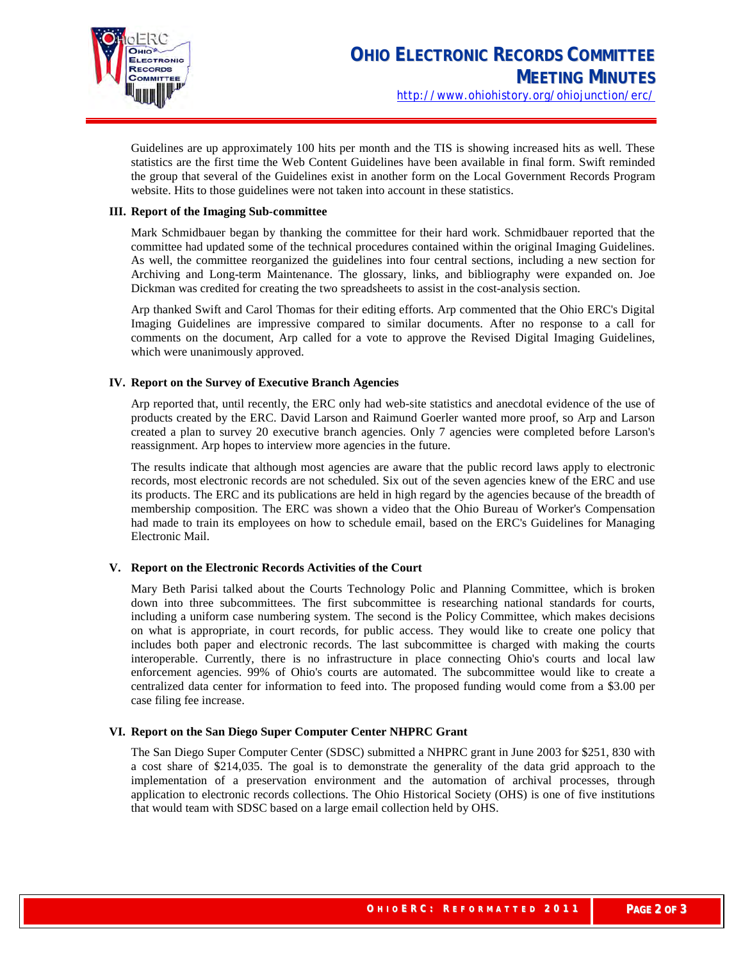

Guidelines are up approximately 100 hits per month and the TIS is showing increased hits as well. These statistics are the first time the Web Content Guidelines have been available in final form. Swift reminded the group that several of the Guidelines exist in another form on the Local Government Records Program website. Hits to those guidelines were not taken into account in these statistics.

#### **III. Report of the Imaging Sub-committee**

Mark Schmidbauer began by thanking the committee for their hard work. Schmidbauer reported that the committee had updated some of the technical procedures contained within the original Imaging Guidelines. As well, the committee reorganized the guidelines into four central sections, including a new section for Archiving and Long-term Maintenance. The glossary, links, and bibliography were expanded on. Joe Dickman was credited for creating the two spreadsheets to assist in the cost-analysis section.

Arp thanked Swift and Carol Thomas for their editing efforts. Arp commented that the Ohio ERC's Digital Imaging Guidelines are impressive compared to similar documents. After no response to a call for comments on the document, Arp called for a vote to approve the Revised Digital Imaging Guidelines, which were unanimously approved.

### **IV. Report on the Survey of Executive Branch Agencies**

Arp reported that, until recently, the ERC only had web-site statistics and anecdotal evidence of the use of products created by the ERC. David Larson and Raimund Goerler wanted more proof, so Arp and Larson created a plan to survey 20 executive branch agencies. Only 7 agencies were completed before Larson's reassignment. Arp hopes to interview more agencies in the future.

The results indicate that although most agencies are aware that the public record laws apply to electronic records, most electronic records are not scheduled. Six out of the seven agencies knew of the ERC and use its products. The ERC and its publications are held in high regard by the agencies because of the breadth of membership composition. The ERC was shown a video that the Ohio Bureau of Worker's Compensation had made to train its employees on how to schedule email, based on the ERC's Guidelines for Managing Electronic Mail.

# **V. Report on the Electronic Records Activities of the Court**

Mary Beth Parisi talked about the Courts Technology Polic and Planning Committee, which is broken down into three subcommittees. The first subcommittee is researching national standards for courts, including a uniform case numbering system. The second is the Policy Committee, which makes decisions on what is appropriate, in court records, for public access. They would like to create one policy that includes both paper and electronic records. The last subcommittee is charged with making the courts interoperable. Currently, there is no infrastructure in place connecting Ohio's courts and local law enforcement agencies. 99% of Ohio's courts are automated. The subcommittee would like to create a centralized data center for information to feed into. The proposed funding would come from a \$3.00 per case filing fee increase.

# **VI. Report on the San Diego Super Computer Center NHPRC Grant**

The San Diego Super Computer Center (SDSC) submitted a NHPRC grant in June 2003 for \$251, 830 with a cost share of \$214,035. The goal is to demonstrate the generality of the data grid approach to the implementation of a preservation environment and the automation of archival processes, through application to electronic records collections. The Ohio Historical Society (OHS) is one of five institutions that would team with SDSC based on a large email collection held by OHS.